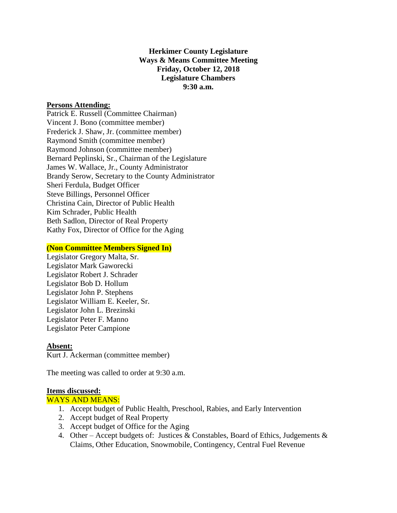# **Herkimer County Legislature Ways & Means Committee Meeting Friday, October 12, 2018 Legislature Chambers 9:30 a.m.**

### **Persons Attending:**

Patrick E. Russell (Committee Chairman) Vincent J. Bono (committee member) Frederick J. Shaw, Jr. (committee member) Raymond Smith (committee member) Raymond Johnson (committee member) Bernard Peplinski, Sr., Chairman of the Legislature James W. Wallace, Jr., County Administrator Brandy Serow, Secretary to the County Administrator Sheri Ferdula, Budget Officer Steve Billings, Personnel Officer Christina Cain, Director of Public Health Kim Schrader, Public Health Beth Sadlon, Director of Real Property Kathy Fox, Director of Office for the Aging

### **(Non Committee Members Signed In)**

Legislator Gregory Malta, Sr. Legislator Mark Gaworecki Legislator Robert J. Schrader Legislator Bob D. Hollum Legislator John P. Stephens Legislator William E. Keeler, Sr. Legislator John L. Brezinski Legislator Peter F. Manno Legislator Peter Campione

### **Absent:**

Kurt J. Ackerman (committee member)

The meeting was called to order at 9:30 a.m.

### **Items discussed:**

### WAYS AND MEANS:

- 1. Accept budget of Public Health, Preschool, Rabies, and Early Intervention
- 2. Accept budget of Real Property
- 3. Accept budget of Office for the Aging
- 4. Other Accept budgets of: Justices & Constables, Board of Ethics, Judgements & Claims, Other Education, Snowmobile, Contingency, Central Fuel Revenue